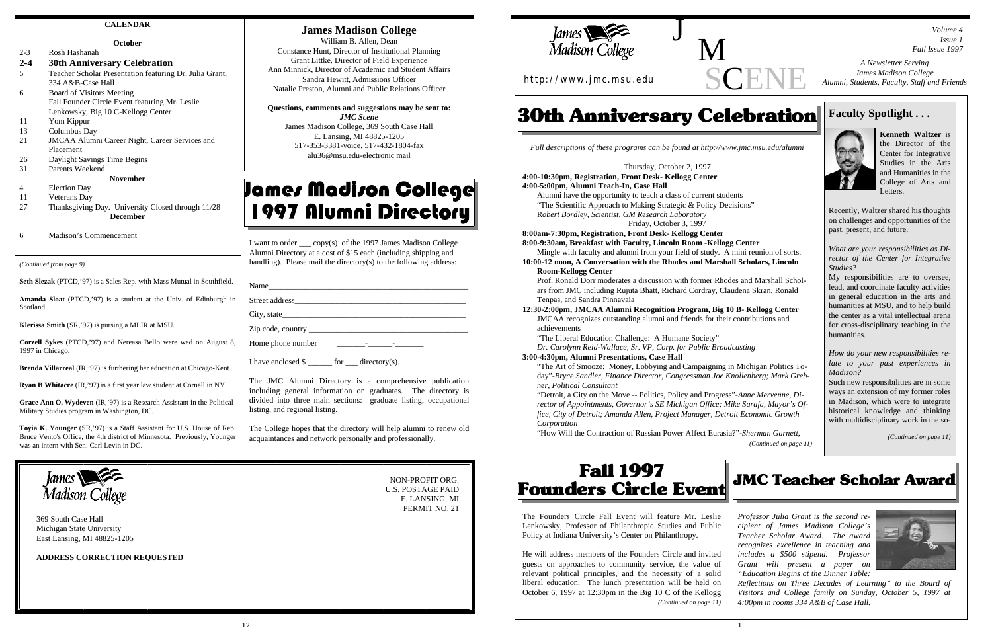SCEI



## **James Madison College**

William B. Allen, Dean Constance Hunt, Director of Institutional Planning Grant Littke, Director of Field Experience Ann Minnick, Director of Academic and Student Affairs Sandra Hewitt, Admissions Officer Natalie Preston, Alumni and Public Relations Officer

**Questions, comments and suggestions may be sent to:**

*JMC Scene* James Madison College, 369 South Case Hall E. Lansing, MI 48825-1205 517-353-3381-voice, 517-432-1804-fax alu36@msu.edu-electronic mail

# James Madison College 1997 Alumni Directory

369 South Case Hall Michigan State University East Lansing, MI 48825-1205

- 4 Election Day
- 11 Veterans Day
- 27 Thanksgiving Day. University Closed through 11/28 **December**
- Madison's Commencement

**ADDRESS CORRECTION REQUESTED**

NON-PROFIT ORG. U.S. POSTAGE PAID E. LANSING, MI PERMIT NO. 21



### **CALENDAR**

#### **October**

2-3 Rosh Hashanah

#### **2-4 30th Anniversary Celebration**

- 5 Teacher Scholar Presentation featuring Dr. Julia Grant, 334 A&B-Case Hall
- 6 Board of Visitors Meeting Fall Founder Circle Event featuring Mr. Leslie Lenkowsky, Big 10 C-Kellogg Center
- 11 Yom Kippur
- 13 Columbus Day
- 21 JMCAA Alumni Career Night, Career Services and Placement
- 26 Daylight Savings Time Begins
- 31 Parents Weekend

## **November**

I want to order \_\_\_ copy(s) of the 1997 James Madison College Alumni Directory at a cost of \$15 each (including shipping and handling). Please mail the directory(s) to the following address:

| Name           |  |
|----------------|--|
| Street address |  |
| City, state    |  |

Zip code, country  $\overline{\phantom{a}}$ 

Home phone number

I have enclosed  $\$\$  for directory(s).

The JMC Alumni Directory is a comprehensive publication including general information on graduates. The directory is divided into three main sections: graduate listing, occupational listing, and regional listing.

The College hopes that the directory will help alumni to renew old acquaintances and network personally and professionally.

**Seth Slezak** (PTCD,'97) is a Sales Rep. with Mass Mutual in Southfield.

**Amanda Sloat** (PTCD,'97) is a student at the Univ. of Edinburgh in Scotland.

**Klerissa Smith** (SR,'97) is pursing a MLIR at MSU.

**Corzell Sykes** (PTCD,'97) and Nereasa Bello were wed on August 8, 1997 in Chicago.

**Brenda Villarreal** (IR,'97) is furthering her education at Chicago-Kent.

**Ryan B Whitacre** (IR,'97) is a first year law student at Cornell in NY.

**Grace Ann O. Wydeven** (IR,'97) is a Research Assistant in the Political-Military Studies program in Washington, DC.

**Toyia K. Younger** (SR,'97) is a Staff Assistant for U.S. House of Rep. Bruce Vento's Office, the 4th district of Minnesota. Previously, Younger was an intern with Sen. Carl Levin in DC.



*(Continued from page 9)*

# **Faculty Spotlight . . .**



**Kenneth Waltzer** is the Director of the Center for Integrative Studies in the Arts and Humanities in the College of Arts and Letters.

Recently, Waltzer shared his thoughts on challenges and opportunities of the past, present, and future.

*What are your responsibilities as Director of the Center for Integrative Studies?*

My responsibilities are to oversee, lead, and coordinate faculty activities in general education in the arts and humanities at MSU, and to help build the center as a vital intellectual arena for cross-disciplinary teaching in the humanities.

*How do your new responsibilities relate to your past experiences in Madison?*

Such new responsibilities are in some ways an extension of my former roles in Madison, which were to integrate historical knowledge and thinking with multidisciplinary work in the so-

*(Continued on page 11)*

**JMC Teacher Scholar Award** 

*Full descriptions of these programs can be found at http://www.jmc.msu.edu/alumni*

Thursday, October 2, 1997

**4:00-10:30pm, Registration, Front Desk- Kellogg Center 4:00-5:00pm, Alumni Teach-In, Case Hall** Alumni have the opportunity to teach a class of current students

"The Scientific Approach to Making Strategic & Policy Decisions" R*obert Bordley, Scientist, GM Research Laboratory* Friday, October 3, 1997

**8:00am-7:30pm, Registration, Front Desk- Kellogg Center**

**8:00-9:30am, Breakfast with Faculty, Lincoln Room -Kellogg Center** Mingle with faculty and alumni from your field of study. A mini reunion of sorts. **10:00-12 noon, A Conversation with the Rhodes and Marshall Scholars, Lincoln**

**Room-Kellogg Center**

Prof. Ronald Dorr moderates a discussion with former Rhodes and Marshall Scholars from JMC including Rujuta Bhatt, Richard Cordray, Claudena Skran, Ronald Tenpas, and Sandra Pinnavaia

**12:30-2:00pm, JMCAA Alumni Recognition Program, Big 10 B- Kellogg Center** JMCAA recognizes outstanding alumni and friends for their contributions and achievements

"The Liberal Education Challenge: A Humane Society"

*Dr. Carolynn Reid-Wallace, Sr. VP, Corp. for Public Broadcasting*

## **3:00-4:30pm, Alumni Presentations, Case Hall**

"The Art of Smooze: Money, Lobbying and Campaigning in Michigan Politics Today"-*Bryce Sandler, Finance Director, Congressman Joe Knollenberg; Mark Grebner, Political Consultant*

"Detroit, a City on the Move -- Politics, Policy and Progress"-*Anne Mervenne, Director of Appointments, Governor's SE Michigan Office; Mike Sarafa, Mayor's Office, City of Detroit; Amanda Allen, Project Manager, Detroit Economic Growth Corporation*

"How Will the Contraction of Russian Power Affect Eurasia?"-*Sherman Garnett,*

# **Fall 1997 Founders Circle Event**

*(Continued on page 11)*

*A Newsletter Serving*

*James Madison College Alumni, Students, Faculty, Staff and Friends*

*Volume 4 Issue 1*

*Fall Issue 1997*

http://www.jmc.msu.edu

# **30th Anniversary Celebration**

J M

> *Professor Julia Grant is the second recipient of James Madison College's Teacher Scholar Award. The award recognizes excellence in teaching and includes a \$500 stipend. Professor Grant will present a paper on "Education Begins at the Dinner Table:*



*Reflections on Three Decades of Learning" to the Board of Visitors and College family on Sunday, October 5, 1997 at 4:00pm in rooms 334 A&B of Case Hall.*

The Founders Circle Fall Event will feature Mr. Leslie Lenkowsky, Professor of Philanthropic Studies and Public Policy at Indiana University's Center on Philanthropy.

He will address members of the Founders Circle and invited guests on approaches to community service, the value of relevant political principles, and the necessity of a solid liberal education. The lunch presentation will be held on October 6, 1997 at 12:30pm in the Big 10 C of the Kellogg *(Continued on page 11)*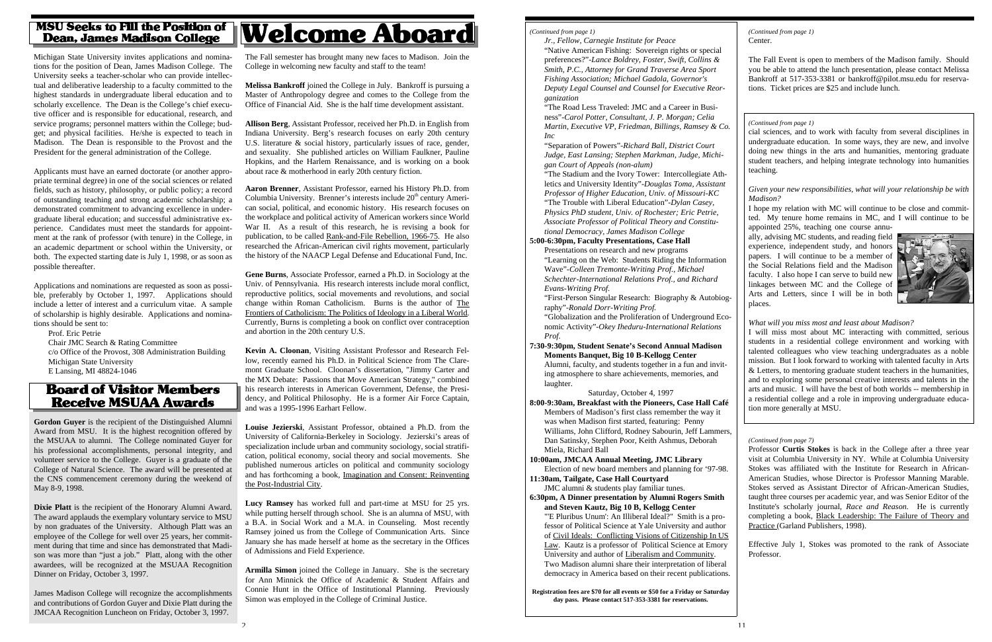## **MSU Seeks to Fill the Position of Dean, James Madison College**

Michigan State University invites applications and nominations for the position of Dean, James Madison College. The University seeks a teacher-scholar who can provide intellectual and deliberative leadership to a faculty committed to the highest standards in undergraduate liberal education and to scholarly excellence. The Dean is the College's chief executive officer and is responsible for educational, research, and service programs; personnel matters within the College; budget; and physical facilities. He/she is expected to teach in Madison. The Dean is responsible to the Provost and the President for the general administration of the College.

Applicants must have an earned doctorate (or another appropriate terminal degree) in one of the social sciences or related fields, such as history, philosophy, or public policy; a record of outstanding teaching and strong academic scholarship; a demonstrated commitment to advancing excellence in undergraduate liberal education; and successful administrative experience. Candidates must meet the standards for appointment at the rank of professor (with tenure) in the College, in an academic department or school within the University, or both. The expected starting date is July 1, 1998, or as soon as possible thereafter.

Applications and nominations are requested as soon as possible, preferably by October 1, 1997. Applications should include a letter of interest and a curriculum vitae. A sample of scholarship is highly desirable. Applications and nominations should be sent to:

Prof. Eric Petrie Chair JMC Search & Rating Committee c/o Office of the Provost, 308 Administration Building Michigan State University E Lansing, MI 48824-1046

## **Board of Visitor Members Receive MSUAA Awards**

The Fall semester has brought many new faces to Madison. Join the College in welcoming new faculty and staff to the team!

**Louise Jezierski**, Assistant Professor, obtained a Ph.D. from the University of California-Berkeley in Sociology. Jezierski's areas of specialization include urban and community sociology, social stratification, political economy, social theory and social movements. She published numerous articles on political and community sociology and has forthcoming a book, Imagination and Consent: Reinventing the Post-Industrial City.

**Melissa Bankroff** joined the College in July. Bankroff is pursuing a Master of Anthropology degree and comes to the College from the Office of Financial Aid. She is the half time development assistant.

**Allison Berg**, Assistant Professor, received her Ph.D. in English from Indiana University. Berg's research focuses on early 20th century U.S. literature & social history, particularly issues of race, gender, and sexuality. She published articles on William Faulkner, Pauline Hopkins, and the Harlem Renaissance, and is working on a book about race & motherhood in early 20th century fiction.

**Aaron Brenner**, Assistant Professor, earned his History Ph.D. from Columbia University. Brenner's interests include  $20<sup>th</sup>$  century American social, political, and economic history. His research focuses on the workplace and political activity of American workers since World War II. As a result of this research, he is revising a book for publication, to be called Rank-and-File Rebellion, 1966-75 . He also researched the African-American civil rights movement, particularly the history of the NAACP Legal Defense and Educational Fund, Inc.

**Gene Burns**, Associate Professor, earned a Ph.D. in Sociology at the Univ. of Pennsylvania. His research interests include moral conflict, reproductive politics, social movements and revolutions, and social change within Roman Catholicism. Burns is the author of The Frontiers of Catholicism: The Politics of Ideology in a Liberal World . Currently, Burns is completing a book on conflict over contraception and abortion in the 20th century U.S.

**Kevin A. Cloonan**, Visiting Assistant Professor and Research Fellow, recently earned his Ph.D. in Political Science from The Claremont Graduate School. Cloonan's dissertation, "Jimmy Carter and the MX Debate: Passions that Move American Strategy," combined his research interests in American Government, Defense, the Presidency, and Political Philosophy. He is a former Air Force Captain, and was a 1995-1996 Earhart Fellow.

**Lucy Ramsey** has worked full and part-time at MSU for 25 yrs. while putting herself through school. She is an alumna of MSU, with a B.A. in Social Work and a M.A. in Counseling. Most recently Ramsey joined us from the College of Communication Arts. Since January she has made herself at home as the secretary in the Offices of Admissions and Field Experience.

**Armilla Simon** joined the College in January. She is the secretary for Ann Minnick the Office of Academic & Student Affairs and Connie Hunt in the Office of Institutional Planning. Previously Simon was employed in the College of Criminal Justice.

**Gordon Guyer** is the recipient of the Distinguished Alumni Award from MSU. It is the highest recognition offered by the MSUAA to alumni. The College nominated Guyer for his professional accomplishments, personal integrity, and volunteer service to the College. Guyer is a graduate of the College of Natural Science. The award will be presented at the CNS commencement ceremony during the weekend of May 8-9, 1998.

**Dixie Platt** is the recipient of the Honorary Alumni Award. The award applauds the exemplary voluntary service to MSU by non graduates of the University. Although Platt was an employee of the College for well over 25 years, her commitment during that time and since has demonstrated that Madison was more than "just a job." Platt, along with the other awardees, will be recognized at the MSUAA Recognition Dinner on Friday, October 3, 1997.

James Madison College will recognize the accomplishments and contributions of Gordon Guyer and Dixie Platt during the JMCAA Recognition Luncheon on Friday, October 3, 1997.

# **Welcome Aboard**

Professor **Curtis Stokes** is back in the College after a three year visit at Columbia University in NY. While at Columbia University Stokes was affiliated with the Institute for Research in African-American Studies, whose Director is Professor Manning Marable. Stokes served as Assistant Director of African-American Studies, taught three courses per academic year, and was Senior Editor of the Institute's scholarly journal, *Race and Reason.* He is currently completing a book, Black Leadership: The Failure of Theory and Practice (Garland Publishers, 1998).

Effective July 1, Stokes was promoted to the rank of Associate Professor.

#### *(Continued from page 7)*

The Fall Event is open to members of the Madison family. Should you be able to attend the lunch presentation, please contact Melissa Bankroff at 517-353-3381 or bankroff@pilot.msu.edu for reservations. Ticket prices are \$25 and include lunch.

Center. *(Continued from page 1)*

*Jr., Fellow, Carnegie Institute for Peace* "Native American Fishing: Sovereign rights or special preferences?"-*Lance Boldrey, Foster, Swift, Collins & Smith, P.C., Attorney for Grand Traverse Area Sport Fishing Association; Michael Gadola, Governor's Deputy Legal Counsel and Counsel for Executive Reorganization* "The Road Less Traveled: JMC and a Career in Business"-*Carol Potter, Consultant, J. P. Morgan; Celia Martin, Executive VP, Friedman, Billings, Ramsey & Co. Inc* "Separation of Powers"-*Richard Ball, District Court Judge, East Lansing; Stephen Markman, Judge, Michigan Court of Appeals (non-alum)* "The Stadium and the Ivory Tower: Intercollegiate Athletics and University Identity"-*Douglas Toma, Assistant Professor of Higher Education, Univ. of Missouri-KC* "The Trouble with Liberal Education"-*Dylan Casey, Physics PhD student, Univ. of Rochester; Eric Petrie, Associate Professor of Political Theory and Constitutional Democracy, James Madison College* **5:00-6:30pm, Faculty Presentations, Case Hall** Presentations on research and new programs "Learning on the Web: Students Riding the Information Wave"-*Colleen Tremonte-Writing Prof., Michael Schechter-International Relations Prof., and Richard Evans-Writing Prof.* "First-Person Singular Research: Biography & Autobiography"-*Ronald Dorr-Writing Prof.* "Globalization and the Proliferation of Underground Economic Activity"-*Okey Iheduru-International Relations Prof.* **7:30-9:30pm, Student Senate's Second Annual Madison Moments Banquet, Big 10 B-Kellogg Center** Alumni, faculty, and students together in a fun and inviting atmosphere to share achievements, memories, and laughter. Saturday, October 4, 1997 **8:00-9:30am, Breakfast with the Pioneers, Case Hall Café** Members of Madison's first class remember the way it was when Madison first started, featuring: Penny Williams, John Clifford, Rodney Sabourin, Jeff Lammers, Dan Satinsky, Stephen Poor, Keith Ashmus, Deborah Miela, Richard Ball **10:00am, JMCAA Annual Meeting, JMC Library** Election of new board members and planning for '97-98. **11:30am, Tailgate, Case Hall Courtyard** JMC alumni & students play familiar tunes.

**6:30pm, A Dinner presentation by Alumni Rogers Smith and Steven Kautz, Big 10 B, Kellogg Center** "'E Pluribus Unum': An Illiberal Ideal?" Smith is a professor of Political Science at Yale University and author of Civil Ideals: Conflicting Visions of Citizenship In US Law. Kautz is a professor of Political Science at Emory University and author of Liberalism and Community . Two Madison alumni share their interpretation of liberal democracy in America based on their recent publications.

**Registration fees are \$70 for all events or \$50 for a Friday or Saturday day pass. Please contact 517-353-3381 for reservations.**

 $\mathcal{L}$ 

#### *(Continued from page 1)*

cial sciences, and to work with faculty from several disciplines in undergraduate education. In some ways, they are new, and involve doing new things in the arts and humanities, mentoring graduate student teachers, and helping integrate technology into humanities teaching.

#### *Given your new responsibilities, what will your relationship be with Madison?*

I hope my relation with MC will continue to be close and committed. My tenure home remains in MC, and I will continue to be appointed 25%, teaching one course annu-

ally, advising MC students, and reading field experience, independent study, and honors papers. I will continue to be a member of the Social Relations field and the Madison faculty. I also hope I can serve to build new linkages between MC and the College of Arts and Letters, since I will be in both places.



#### *What will you miss most and least about Madison?*

I will miss most about MC interacting with committed, serious students in a residential college environment and working with talented colleagues who view teaching undergraduates as a noble mission. But I look forward to working with talented faculty in Arts & Letters, to mentoring graduate student teachers in the humanities, and to exploring some personal creative interests and talents in the arts and music. I will have the best of both worlds -- membership in a residential college and a role in improving undergraduate education more generally at MSU.

#### *(Continued from page 1)*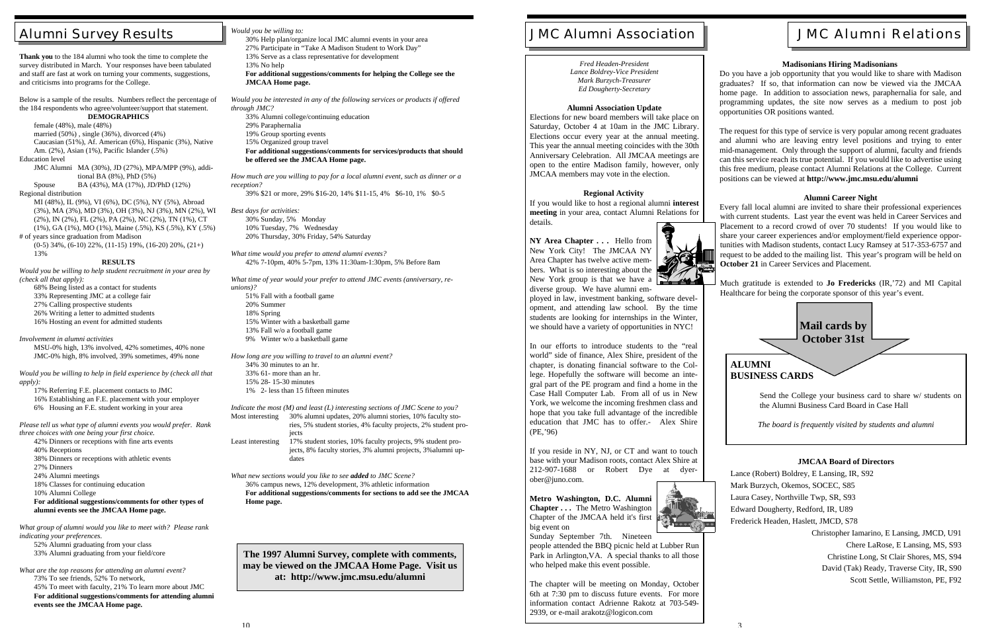# JMC Alumni Association | | | | | | | JMC Alumni Relations

# Alumni Survey Results

**Thank you** to the 184 alumni who took the time to complete the survey distributed in March. Your responses have been tabulated and staff are fast at work on turning your comments, suggestions, and criticisms into programs for the College.

Below is a sample of the results. Numbers reflect the percentage of the 184 respondents who agree/volunteer/support that statement. **DEMOGRAPHICS**

female (48%), male (48%) married (50%) , single (36%), divorced (4%) Caucasian (51%), Af. American (6%), Hispanic (3%), Native Am. (2%), Asian (1%), Pacific Islander (.5%) Education level

 $(0-5)$  34%,  $(6-10)$  22%,  $(11-15)$  19%,  $(16-20)$  20%,  $(21+)$ 13%

JMC Alumni MA (30%), JD (27%), MPA/MPP (9%), additional BA (8%), PhD (5%) Spouse BA (43%), MA (17%), JD/PhD (12%)

Regional distribution

MI (48%), IL (9%), VI (6%), DC (5%), NY (5%), Abroad (3%), MA (3%), MD (3%), OH (3%), NJ (3%), MN (2%), WI (2%), IN (2%), FL (2%), PA (2%), NC (2%), TN (1%), CT (1%), GA (1%), MO (1%), Maine (.5%), KS (.5%), KY (.5%)

# of years since graduation from Madison

#### **RESULTS**

*Would you be willing to help student recruitment in your area by (check all that apply):*

- 68% Being listed as a contact for students
- 33% Representing JMC at a college fair
- 27% Calling prospective students
- 26% Writing a letter to admitted students
- 16% Hosting an event for admitted students

*Involvement in alumni activities*

MSU-0% high, 13% involved, 42% sometimes, 40% none JMC-0% high, 8% involved, 39% sometimes, 49% none

*Would you be willing to help in field experience by (check all that apply):*

17% Referring F.E. placement contacts to JMC

- 16% Establishing an F.E. placement with your employer
- 6% Housing an F.E. student working in your area

*Please tell us what type of alumni events you would prefer. Rank three choices with one being your first choice.*

- 42% Dinners or receptions with fine arts events
- 40% Receptions
- 38% Dinners or receptions with athletic events
- 27% Dinners
- 24% Alumni meetings
- 18% Classes for continuing education

10% Alumni College

**For additional suggestions/comments for other types of alumni events see the JMCAA Home page.**

*What group of alumni would you like to meet with? Please rank indicating your preferences.*

52% Alumni graduating from your class 33% Alumni graduating from your field/core

*What are the top reasons for attending an alumni event?* 73% To see friends, 52% To network, 45% To meet with faculty, 21% To learn more about JMC **For additional suggestions/comments for attending alumni events see the JMCAA Home page.**

#### *Would you be willing to:*

30% Help plan/organize local JMC alumni events in your area 27% Participate in "Take A Madison Student to Work Day"

13% Serve as a class representative for development

13% No help

**For additional suggestions/comments for helping the College see the JMCAA Home page.**

*Would you be interested in any of the following services or products if offered through JMC?*

33% Alumni college/continuing education 29% Paraphernalia 19% Group sporting events 15% Organized group travel **For additional suggestions/comments for services/products that should**

**be offered see the JMCAA Home page.**

*How much are you willing to pay for a local alumni event, such as dinner or a reception?*

39% \$21 or more, 29% \$16-20, 14% \$11-15, 4% \$6-10, 1% \$0-5

*Best days for activities:* 30% Sunday, 5% Monday 10% Tuesday, 7% Wednesday 20% Thursday, 30% Friday, 54% Saturday

*What time would you prefer to attend alumni events?* 42% 7-10pm, 40% 5-7pm, 13% 11:30am-1:30pm, 5% Before 8am

*What time of year would your prefer to attend JMC events (anniversary, reunions)?* 51% Fall with a football game 20% Summer 18% Spring 15% Winter with a basketball game 13% Fall w/o a football game 9% Winter w/o a basketball game

*How long are you willing to travel to an alumni event?* 34% 30 minutes to an hr. 33% 61- more than an hr.

- 15% 28- 15-30 minutes
- 1% 2- less than 15 fifteen minutes

*Indicate the most (M) and least (L) interesting sections of JMC Scene to you?*

Most interesting 30% alumni updates, 20% alumni stories, 10% faculty stories, 5% student stories, 4% faculty projects, 2% student projects Least interesting 17% student stories, 10% faculty projects, 9% student projects, 8% faculty stories, 3% alumni projects, 3%alumni up-

dates *What new sections would you like to see added to JMC Scene?* 36% campus news, 12% development, 3% athletic information

**For additional suggestions/comments for sections to add see the JMCAA Home page.**

**The 1997 Alumni Survey, complete with comments, may be viewed on the JMCAA Home Page. Visit us at: http://www.jmc.msu.edu/alumni**

*Fred Headen-President Lance Boldrey-Vice President Mark Burzych-Treasurer Ed Dougherty-Secretary*

#### **Alumni Association Update**

Elections for new board members will take place on Saturday, October 4 at 10am in the JMC Library. Elections occur every year at the annual meeting. This year the annual meeting coincides with the 30th Anniversary Celebration. All JMCAA meetings are open to the entire Madison family, however, only JMCAA members may vote in the election.

#### **Regional Activity**

If you would like to host a regional alumni **interest meeting** in your area, contact Alumni Relations for details.

**NY Area Chapter . . .** Hello from New York City! The JMCAA NY Area Chapter has twelve active members. What is so interesting about the New York group is that we have a diverse group. We have alumni em-



ployed in law, investment banking, software development, and attending law school. By the time students are looking for internships in the Winter, we should have a variety of opportunities in NYC!

In our efforts to introduce students to the "real world" side of finance, Alex Shire, president of the chapter, is donating financial software to the College. Hopefully the software will become an integral part of the PE program and find a home in the Case Hall Computer Lab. From all of us in New York, we welcome the incoming freshmen class and hope that you take full advantage of the incredible education that JMC has to offer.- Alex Shire (PE,'96)

If you reside in NY, NJ, or CT and want to touch base with your Madison roots, contact Alex Shire at 212-907-1688 or Robert Dye at dyerober@juno.com.

**Metro Washington, D.C. Alumni Chapter . . .** The Metro Washington Chapter of the JMCAA held it's first big event on



Sunday September 7th. Nineteen

people attended the BBQ picnic held at Lubber Run Park in Arlington,VA. A special thanks to all those who helped make this event possible.

The chapter will be meeting on Monday, October 6th at 7:30 pm to discuss future events. For more information contact Adrienne Rakotz at 703-549- 2939, or e-mail arakotz@logicon.com

Send the College your business card to share w/ students on the Alumni Business Card Board in Case Hall

*The board is frequently visited by students and alumni*

#### **Madisonians Hiring Madisonians**

Do you have a job opportunity that you would like to share with Madison graduates? If so, that information can now be viewed via the JMCAA home page. In addition to association news, paraphernalia for sale, and programming updates, the site now serves as a medium to post job opportunities OR positions wanted.

The request for this type of service is very popular among recent graduates and alumni who are leaving entry level positions and trying to enter mid-management. Only through the support of alumni, faculty and friends can this service reach its true potential. If you would like to advertise using this free medium, please contact Alumni Relations at the College. Current positions can be viewed at **http://www.jmc.msu.edu/alumni**



#### **Alumni Career Night**

Every fall local alumni are invited to share their professional experiences with current students. Last year the event was held in Career Services and Placement to a record crowd of over 70 students! If you would like to share your career experiences and/or employment/field experience opportunities with Madison students, contact Lucy Ramsey at 517-353-6757 and request to be added to the mailing list. This year's program will be held on **October 21** in Career Services and Placement.

Much gratitude is extended to **Jo Fredericks** (IR,'72) and MI Capital Healthcare for being the corporate sponsor of this year's event.

#### **JMCAA Board of Directors**

| Lance (Robert) Boldrey, E Lansing, IR, S92 |
|--------------------------------------------|
| Mark Burzych, Okemos, SOCEC, S85           |
| Laura Casey, Northville Twp, SR, S93       |
| Edward Dougherty, Redford, IR, U89         |
| Frederick Headen, Haslett, JMCD, S78       |
| Christopher Iamarino, E Lansing, JMCD, U91 |
| Chere LaRose, E Lansing, MS, S93           |
| Christine Long, St Clair Shores, MS, S94   |
| David (Tak) Ready, Traverse City, IR, S90  |
| Scott Settle, Williamston, PE, F92         |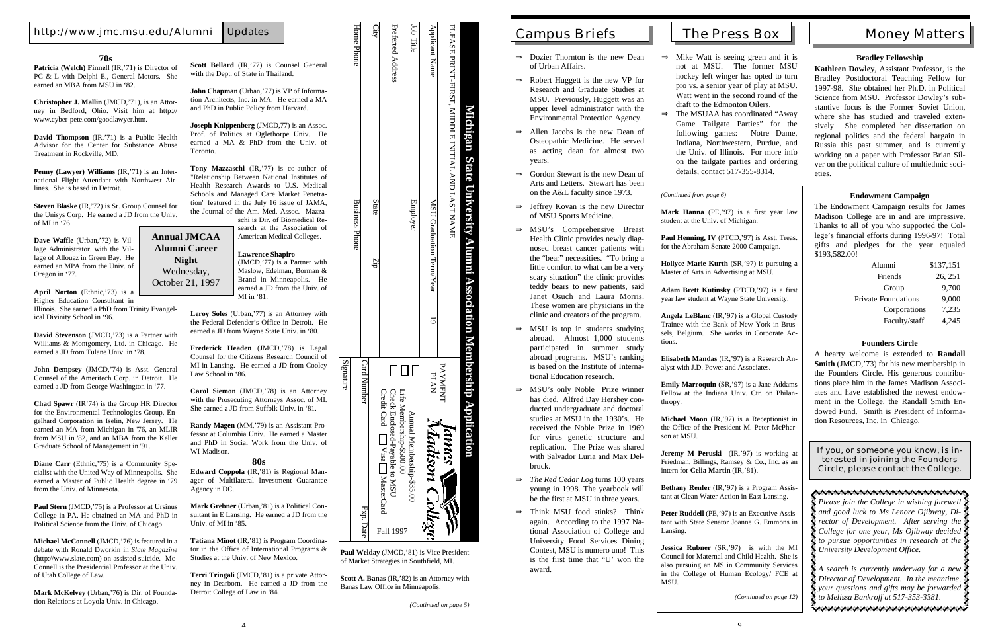### **70s**

Patricia (Welch) Finnell (IR,'71) is Director of PC & L with Delphi E., General Motors. She earned an MBA from MSU in '82.

**Christopher J. Mallin** (JMCD,'71), is an Attorney in Bedford, Ohio. Visit him at http:// www.cyber-pete.com/goodlawyer.htm.

**David Thompson** (IR,'71) is a Public Health Advisor for the Center for Substance Abuse Treatment in Rockville, MD.

**April Norton** (Ethnic,'73) is a Higher Education Consultant in

**Penny (Lawyer) Williams** (IR,'71) is an International Flight Attendant with Northwest Airlines. She is based in Detroit.

**Steven Blaske** (IR,'72) is Sr. Group Counsel for the Unisys Corp. He earned a JD from the Univ. of MI in '76.

**Dave Waffle** (Urban,'72) is Village Administrator. with the Village of Allouez in Green Bay. He earned an MPA from the Univ. of Oregon in '77.

Illinois. She earned a PhD from Trinity Evangelical Divinity School in '96.

Paul Stern (JMCD, '75) is a Professor at Ursinus College in PA. He obtained an MA and PhD in Political Science from the Univ. of Chicago.

**David Stevenson** (JMCD,'73) is a Partner with Williams & Montgomery, Ltd. in Chicago. He earned a JD from Tulane Univ. in '78.

**John Dempsey** (JMCD,'74) is Asst. General Counsel of the Ameritech Corp. in Detroit. He earned a JD from George Washington in '77.

**Joseph Knippenberg** (JMCD, 77) is an Assoc. Prof. of Politics at Oglethorpe Univ. He earned a MA & PhD from the Univ. of Toronto.

**Chad Spawr** (IR'74) is the Group HR Director for the Environmental Technologies Group, Engelhard Corporation in Iselin, New Jersey. He earned an MA from Michigan in '76, an MLIR from MSU in '82, and an MBA from the Keller Graduate School of Management in '91.

**Diane Carr** (Ethnic,'75) is a Community Specialist with the United Way of Minneapolis. She earned a Master of Public Health degree in '79 from the Univ. of Minnesota.

**Michael McConnell** (JMCD,'76) is featured in a debate with Ronald Dworkin in *Slate Magazine* (http://www.slate.com) on assisted suicide. Mc-Connell is the Presidential Professor at the Univ. of Utah College of Law.

**Mark McKelvey** (Urban,'76) is Dir. of Foundation Relations at Loyola Univ. in Chicago.

**Scott Bellard** (IR,'77) is Counsel General with the Dept. of State in Thailand.

**John Chapman** (Urban,'77) is VP of Information Architects, Inc. in MA. He earned a MA and PhD in Public Policy from Harvard.

**Tony Mazzaschi** (IR,'77) is co-author of "Relationship Between National Institutes of Health Research Awards to U.S. Medical Schools and Managed Care Market Penetration" featured in the July 16 issue of JAMA, the Journal of the Am. Med. Assoc. Mazza-

schi is Dir. of Biomedical Research at the Association of American Medical Colleges.

#### **Lawrence Shapiro**

MI in '81.

**Leroy Soles** (Urban,'77) is an Attorney with the Federal Defender's Office in Detroit. He earned a JD from Wayne State Univ. in '80.

**Frederick Headen** (JMCD,'78) is Legal Counsel for the Citizens Research Council of MI in Lansing. He earned a JD from Cooley Law School in '86.

 $\Rightarrow$  Mike Watt is seeing green and it is not at MSU. The former MSU hockey left winger has opted to turn pro vs. a senior year of play at MSU. Watt went in the second round of the

**Carol Siemon** (JMCD,'78) is an Attorney with the Prosecuting Attorneys Assoc. of MI. She earned a JD from Suffolk Univ. in '81.

**Randy Magen** (MM,'79) is an Assistant Professor at Columbia Univ. He earned a Master and PhD in Social Work from the Univ. of WI-Madison.

#### **80s**

**Edward Coppola** (IR,'81) is Regional Manager of Multilateral Investment Guarantee Agency in DC.

**Mark Grebner** (Urban,'81) is a Political Consultant in E Lansing. He earned a JD from the Univ. of MI in '85.

(JMCD,'77) is a Partner with Maslow, Edelman, Borman & Brand in Minneapolis. He earned a JD from the Univ. of **Night** Wednesday, October 21, 1997

> **Tatiana Minot** (IR,'81) is Program Coordinator in the Office of International Programs & Studies at the Univ. of New Mexico.

> **Terri Tringali** (JMCD,'81) is a private Attorney in Dearborn. He earned a JD from the Detroit College of Law in '84.

*A search is currently underway for a new Director of Development. In the meantime, your questions and gifts may be forwarded to Melissa Bankroff at 517-353-3381.* Reservement encorrection encorrection

Signature

Paul Henning, IV (PTCD, '97) is Asst. Treas. for the Abraham Senate 2000 Campaign.

|                                                                                          |                | Business Phone                                                             | Home Phone                                       |
|------------------------------------------------------------------------------------------|----------------|----------------------------------------------------------------------------|--------------------------------------------------|
| <b>Card Number</b><br>Exp. Date                                                          |                |                                                                            |                                                  |
|                                                                                          |                | State<br>ĒД                                                                | <b>Arp</b>                                       |
| Credit Card <a>[Visa<br/>[Visa MasterCarc<br/>Check Enclosed-Payable to MSU<br/>Fall</a> |                |                                                                            | Preferred Address                                |
| Life Membership-\$500.00<br>Annual Membership-\$35.00<br>1997                            |                | Employer                                                                   | Job Title                                        |
| PLAN<br>Madison College                                                                  | $\overline{a}$ | MSU Graduation Term/Year                                                   | Applicant Name                                   |
| PAYMENT<br><b>KAMRS V</b>                                                                |                |                                                                            | PLEASE PRINT-FIRST, MIDDLE INITIAL AND LAST NAME |
|                                                                                          |                | <u>Michigan State University Alumni Association Membership Application</u> |                                                  |
|                                                                                          |                |                                                                            |                                                  |

**Paul Welday** (JMCD,'81) is Vice President of Market Strategies in Southfield, MI.

**Scott A. Banas** (IR,'82) is an Attorney with Banas Law Office in Minneapolis.

**Annual JMCAA Alumni Career**

> **Jeremy M Peruski** (IR,'97) is working at Friedman, Billings, Ramsey & Co., Inc. as an intern for **Celia Martin** (IR,'81).

**Bethany Renfer** *(IR, '97)* is a Program Assistant at Clean Water Action in East Lansing.

Peter Ruddell (PE, '97) is an Executive Assistant with State Senator Joanne G. Emmons in Lansing.

**Jessica Rubner** (SR, '97) is with the MI Council for Maternal and Child Health. She is also pursuing an MS in Community Services in the College of Human Ecology/ FCE at MSU.

- ⇒ Dozier Thornton is the new Dean of Urban Affairs.
- ⇒ Robert Huggett is the new VP for Research and Graduate Studies at MSU. Previously, Huggett was an upper level administrator with the Environmental Protection Agency.
- ⇒ Allen Jacobs is the new Dean of Osteopathic Medicine. He served as acting dean for almost two years.
- ⇒ Gordon Stewart is the new Dean of Arts and Letters. Stewart has been on the A&L faculty since 1973.
- ⇒ Jeffrey Kovan is the new Director of MSU Sports Medicine.
- ⇒ MSU's Comprehensive Breast Health Clinic provides newly diagnosed breast cancer patients with the "bear" necessities. "To bring a little comfort to what can be a very scary situation" the clinic provides teddy bears to new patients, said Janet Osuch and Laura Morris. These women are physicians in the clinic and creators of the program.
- $\Rightarrow$  MSU is top in students studying abroad. Almost 1,000 students participated in summer study abroad programs. MSU's ranking is based on the Institute of International Education research.
- ⇒ MSU's only Noble Prize winner has died. Alfred Day Hershey conducted undergraduate and doctoral studies at MSU in the 1930's. He received the Noble Prize in 1969 for virus genetic structure and replication. The Prize was shared with Salvador Luria and Max Delbruck.
- ⇒ *The Red Cedar Log* turns 100 years young in 1998. The yearbook will be the first at MSU in three years.
- ⇒ Think MSU food stinks? Think again. According to the 1997 National Association of College and University Food Services Dining Contest, MSU is numero uno! This is the first time that "U' won the award.

- draft to the Edmonton Oilers. ⇒ The MSUAA has coordinated "Away
	- details, contact 517-355-8314.

Game Tailgate Parties" for the following games: Notre Dame, Indiana, Northwestern, Purdue, and the Univ. of Illinois. For more info on the tailgate parties and ordering

#### **Bradley Fellowship**

**Kathleen Dowley**, Assistant Professor, is the Bradley Postdoctoral Teaching Fellow for 1997-98. She obtained her Ph.D. in Political Science from MSU. Professor Dowley's substantive focus is the Former Soviet Union, where she has studied and traveled extensively. She completed her dissertation on regional politics and the federal bargain in Russia this past summer, and is currently working on a paper with Professor Brian Silver on the political culture of multiethnic societies.

#### **Endowment Campaign**

The Endowment Campaign results for James Madison College are in and are impressive. Thanks to all of you who supported the College's financial efforts during 1996-97! Total gifts and pledges for the year equaled \$193,582.00!

| Alumni                     | \$137,151 |
|----------------------------|-----------|
| Friends                    | 26, 251   |
| Group                      | 9,700     |
| <b>Private Foundations</b> | 9,000     |
| Corporations               | 7,235     |
| Faculty/staff              | 4,245     |

### **Founders Circle**

A hearty welcome is extended to **Randall Smith** (JMCD,'73) for his new membership in the Founders Circle. His generous contributions place him in the James Madison Associates and have established the newest endowment in the College, the Randall Smith Endowed Fund. Smith is President of Information Resources, Inc. in Chicago.

If you, or someone you know, is interested in joining the Founders Circle, please contact the College.

*Please join the College in wishing farewell and good luck to Ms Lenore Ojibway, Director of Development. After serving the College for one year, Ms Ojibway decided to pursue opportunities in research at the University Development Office.*

**Mark Hanna** (PE,'97) is a first year law student at the Univ. of Michigan.

**Hollyce Marie Kurth** (SR,'97) is pursuing a

Master of Arts in Advertising at MSU.

**Adam Brett Kutinsky** (PTCD,'97) is a first year law student at Wayne State University.

**Angela LeBlanc** (IR,'97) is a Global Custody Trainee with the Bank of New York in Brussels, Belgium. She works in Corporate Actions.

**Elisabeth Mandas** (IR,'97) is a Research Analyst with J.D. Power and Associates.

**Emily Marroquin** (SR,'97) is a Jane Addams Fellow at the Indiana Univ. Ctr. on Philanthropy.

**Michael Moon** (IR,'97) is a Receptionist in the Office of the President M. Peter McPherson at MSU.

*(Continued from page 6)*

*(Continued on page 12)*

Campus Briefs  $\begin{array}{|c|c|c|c|c|c|} \hline \quad\quad\quad & \text{There is a linear combination of the first row.} \end{array}$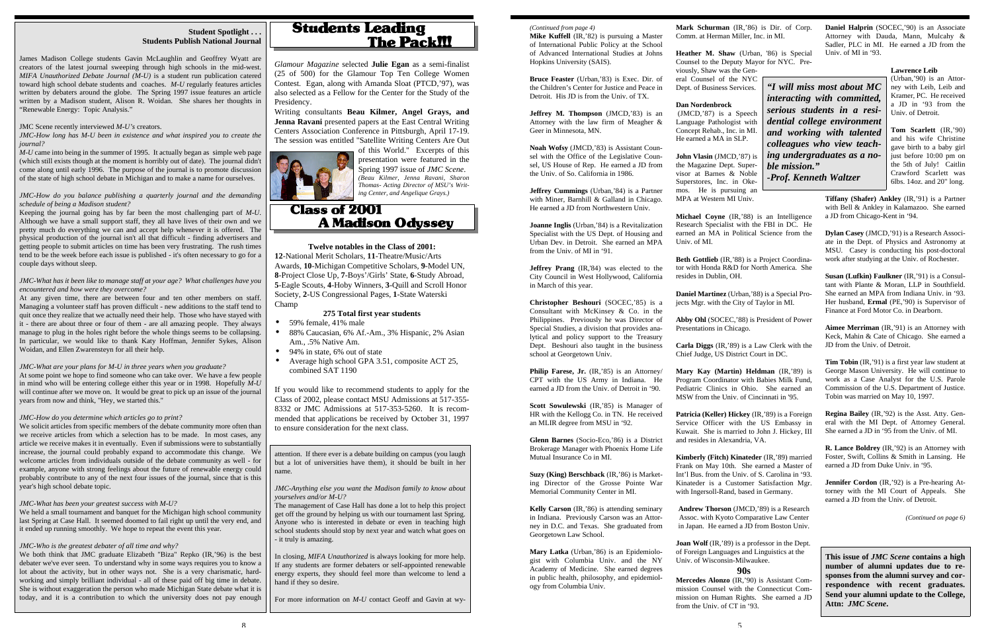*Glamour Magazine* selected **Julie Egan** as a semi-finalist (25 of 500) for the Glamour Top Ten College Women Contest. Egan, along with Amanda Sloat (PTCD,'97), was also selected as a Fellow for the Center for the Study of the Presidency.

Writing consultants **Beau Kilmer, Angel Grays, and Jenna Ravani** presented papers at the East Central Writing Centers Association Conference in Pittsburgh, April 17-19. The session was entitled "Satellite Writing Centers Are Out



of this World." Excerpts of this presentation were featured in the Spring 1997 issue of *JMC Scene*. *(Beau Kilmer, Jenna Ravani, Sharon Thomas- Acting Director of MSU's Writing Center, and Angelique Grays.)*

# **Class of 2001 A Madison Odvssev**

#### **Student Spotlight . . . Students Publish National Journal**

*M-U* came into being in the summer of 1995. It actually began as simple web page (which still exists though at the moment is horribly out of date). The journal didn't come along until early 1996. The purpose of the journal is to promote discussion of the state of high school debate in Michigan and to make a name for ourselves.

James Madison College students Gavin McLaughlin and Geoffrey Wyatt are creators of the latest journal sweeping through high schools in the mid-west. *MIFA Unauthorized Debate Journal (M-U)* is a student run publication catered toward high school debate students and coaches. *M-U* regularly features articles written by debaters around the globe. The Spring 1997 issue features an article written by a Madison student, Alison R. Woidan. She shares her thoughts in "Renewable Energy: Topic Analysis."

#### JMC Scene recently interviewed *M-U's* creators.

*JMC-How long has M-U been in existence and what inspired you to create the journal?*

#### *JMC-How do you balance publishing a quarterly journal and the demanding schedule of being a Madison student?*

Keeping the journal going has by far been the most challenging part of *M-U*. Although we have a small support staff, they all have lives of their own and we pretty much do everything we can and accept help whenever it is offered. The physical production of the journal isn't all that difficult - finding advertisers and getting people to submit articles on time has been very frustrating. The rush times tend to be the week before each issue is published - it's often necessary to go for a couple days without sleep.

*JMC-What has it been like to manage staff at your age? What challenges have you encountered and how were they overcome?*

At any given time, there are between four and ten other members on staff. Managing a volunteer staff has proven difficult - new additions to the staff tend to quit once they realize that we actually need their help. Those who have stayed with it - there are about three or four of them - are all amazing people. They always manage to plug in the holes right before the whole things seems to be collapsing. In particular, we would like to thank Katy Hoffman, Jennifer Sykes, Alison Woidan, and Ellen Zwarensteyn for all their help.

*JMC-What are your plans for M-U in three years when you graduate?*

- 59% female, 41% male
- 88% Caucasian, 6% Af.-Am., 3% Hispanic, 2% Asian Am., .5% Native Am.
- 94% in state, 6% out of state
- Average high school GPA 3.51, composite ACT 25, combined SAT 1190

At some point we hope to find someone who can take over. We have a few people in mind who will be entering college either this year or in 1998. Hopefully *M-U* will continue after we move on. It would be great to pick up an issue of the journal years from now and think, "Hey, we started this."

#### *JMC-How do you determine which articles go to print?*

**Susan (Lufkin) Faulkner (IR,'91) is a Consul**tant with Plante & Moran, LLP in Southfield. She earned an MPA from Indiana Univ. in '93. Her husband, **Ermal** (PE,'90) is Supervisor of Finance at Ford Motor Co. in Dearborn.

We solicit articles from specific members of the debate community more often than we receive articles from which a selection has to be made. In most cases, any article we receive makes it in eventually. Even if submissions were to substantially increase, the journal could probably expand to accommodate this change. We welcome articles from individuals outside of the debate community as well - for example, anyone with strong feelings about the future of renewable energy could probably contribute to any of the next four issues of the journal, since that is this year's high school debate topic.

#### *JMC-What has been your greatest success with M-U?*

We held a small tournament and banquet for the Michigan high school community last Spring at Case Hall. It seemed doomed to fail right up until the very end, and it ended up running smoothly. We hope to repeat the event this year.

**Jeffrey M. Thompson** (JMCD,'83) is an Attorney with the law firm of Meagher & Geer in Minnesota, MN.

#### *JMC-Who is the greatest debater of all time and why?*

We both think that JMC graduate Elizabeth "Biza" Repko (IR,'96) is the best debater we've ever seen. To understand why in some ways requires you to know a lot about the activity, but in other ways not. She is a very charismatic, hardworking and simply brilliant individual - all of these paid off big time in debate. She is without exaggeration the person who made Michigan State debate what it is today, and it is a contribution to which the university does not pay enough

## **Students Leading The Pack!!!**

attention. If there ever is a debate building on campus (you laugh but a lot of universities have them), it should be built in her name.

*JMC-Anything else you want the Madison family to know about yourselves and/or M-U?*

The management of Case Hall has done a lot to help this project get off the ground by helping us with our tournament last Spring. Anyone who is interested in debate or even in teaching high school students should stop by next year and watch what goes on - it truly is amazing.

In closing, *MIFA Unauthorized* is always looking for more help. If any students are former debaters or self-appointed renewable energy experts, they should feel more than welcome to lend a hand if they so desire.

For more information on *M-U* contact Geoff and Gavin at wy-

**Twelve notables in the Class of 2001: 12**-National Merit Scholars, **11**-Theatre/Music/Arts Awards, **10**-Michigan Competitive Scholars, **9**-Model UN, **8**-Project Close Up, **7**-Boys'/Girls' State, **6**-Study Abroad, **5**-Eagle Scouts, **4**-Hoby Winners, **3**-Quill and Scroll Honor Society, **2**-US Congressional Pages, **1**-State Waterski Champ

#### **275 Total first year students**

**Joan Wolf** (IR, '89) is a professor in the Dept. of Foreign Languages and Linguistics at the Univ. of Wisconsin-Milwaukee.

If you would like to recommend students to apply for the Class of 2002, please contact MSU Admissions at 517-355- 8332 or JMC Admissions at 517-353-5260. It is recommended that applications be received by October 31, 1997 to ensure consideration for the next class.

**Daniel Halprin** (SOCEC,'90) is an Associate Attorney with Dauda, Mann, Mulcahy & Sadler, PLC in MI. He earned a JD from the

Univ. of MI in '93.

**Lawrence Leib**

(Urban,'90) is an Attorney with Leib, Leib and Kramer, PC. He received a JD in '93 from the Univ. of Detroit.

**Tom Scarlett** (IR,'90) and his wife Christine gave birth to a baby girl just before 10:00 pm on the 5th of July! Caitlin Crawford Scarlett was 6lbs. 14oz. and 20" long.

**Tiffany (Shafer) Ankley** (IR,'91) is a Partner with Bell & Ankley in Kalamazoo. She earned a JD from Chicago-Kent in '94.

**Dylan Casey** (JMCD,'91) is a Research Associate in the Dept. of Physics and Astronomy at MSU. Casey is conducting his post-doctoral work after studying at the Univ. of Rochester.

**Aimee Merriman** (IR,'91) is an Attorney with Keck, Mahin & Cate of Chicago. She earned a JD from the Univ. of Detroit.

**Tim Tobin** (IR,'91) is a first year law student at George Mason University. He will continue to work as a Case Analyst for the U.S. Parole Commission of the U.S. Department of Justice. Tobin was married on May 10, 1997.

**Regina Bailey** (IR,'92) is the Asst. Atty. General with the MI Dept. of Attorney General. She earned a JD in '95 from the Univ. of MI.

**R. Lance Boldrey** (IR,'92) is an Attorney with Foster, Swift, Collins & Smith in Lansing. He earned a JD from Duke Univ. in '95.

**Jennifer Cordon** (IR,'92) is a Pre-hearing Attorney with the MI Court of Appeals. She earned a JD from the Univ. of Detroit.

*(Continued on page 6)*

**Mike Kuffell** (IR,'82) is pursuing a Master of International Public Policy at the School of Advanced International Studies at Johns Hopkins University (SAIS).

**Bruce Feaster** (Urban,'83) is Exec. Dir. of the Children's Center for Justice and Peace in Detroit. His JD is from the Univ. of TX.

**Noah Wofsy** (JMCD,'83) is Assistant Counsel with the Office of the Legislative Counsel, US House of Rep. He earned a JD from the Univ. of So. California in 1986.

**Jeffrey Cummings** (Urban,'84) is a Partner with Miner, Barnhill & Galland in Chicago. He earned a JD from Northwestern Univ.

**Joanne Inglis** (Urban,'84) is a Revitalization Specialist with the US Dept. of Housing and Urban Dev. in Detroit. She earned an MPA from the Univ. of MI in '91.

**Jeffrey Prang** (IR,'84) was elected to the City Council in West Hollywood, California in March of this year.

**Christopher Beshouri** (SOCEC,'85) is a Consultant with McKinsey & Co. in the Philippines. Previously he was Director of Special Studies, a division that provides analytical and policy support to the Treasury Dept. Beshouri also taught in the business school at Georgetown Univ.

**Philip Farese, Jr.** (IR,'85) is an Attorney/ CPT with the US Army in Indiana. He earned a JD from the Univ. of Detroit in '90.

**Scott Sowulewski** (IR,'85) is Manager of HR with the Kellogg Co. in TN. He received an MLIR degree from MSU in '92.

**Glenn Barnes** (Socio-Eco,'86) is a District Brokerage Manager with Phoenix Home Life Mutual Insurance Co in MI.

**Suzy (King) Berschback** (IR,'86) is Marketing Director of the Grosse Pointe War Memorial Community Center in MI.

**Kelly Carson** (IR,'86) is attending seminary in Indiana. Previously Carson was an Attorney in D.C. and Texas. She graduated from Georgetown Law School.

**Mary Latka** (Urban,'86) is an Epidemiologist with Columbia Univ. and the NY Academy of Medicine. She earned degrees in public health, philosophy, and epidemiology from Columbia Univ.

*(Continued from page 4)* **Mark Schurman** (IR,'86) is Dir. of Corp. Comm. at Herman Miller, Inc. in MI.

> **Heather M. Shaw** (Urban, '86) is Special Counsel to the Deputy Mayor for NYC. Previously, Shaw was the General Counsel of the NYC Dept. of Business Services.

**Dan Nordenbrock**

 (JMCD,'87) is a Speech Language Pathologist with Concept Rehab., Inc. in MI. He earned a MA in SLP.

**John Vlasin** (JMCD,'87) is the Magazine Dept. Supervisor at Barnes & Noble Superstores, Inc. in Okemos. He is pursuing an MPA at Western MI Univ.

**Michael Coyne** (IR,'88) is an Intelligence Univ. of MI.

Research Specialist with the FBI in DC. He earned an MA in Political Science from the

**Beth Gottlieb** (IR,'88) is a Project Coordinator with Honda R&D for North America. She resides in Dublin, OH.

**Daniel Martinez** (Urban,'88) is a Special Projects Mgr. with the City of Taylor in MI.

**Abby Ohl** (SOCEC,'88) is President of Power Presentations in Chicago.

**Carla Diggs** (IR,'89) is a Law Clerk with the Chief Judge, US District Court in DC.

**Mary Kay (Martin) Heldman** (IR,'89) is Program Coordinator with Babies Milk Fund, Pediatric Clinics in Ohio. She earned an MSW from the Univ. of Cincinnati in '95.

**Patricia (Keller) Hickey** (IR,'89) is a Foreign Service Officer with the US Embassy in Kuwait. She is married to John J. Hickey, III and resides in Alexandria, VA.

**Kimberly (Fitch) Kinateder** (IR,'89) married Frank on May 10th. She earned a Master of Int'l Bus. from the Univ. of S. Carolina in '93. Kinateder is a Customer Satisfaction Mgr. with Ingersoll-Rand, based in Germany.

**Andrew Thorson** (JMCD,'89) is a Research Assoc. with Kyoto Comparative Law Center in Japan. He earned a JD from Boston Univ.

### **90s**

**Mercedes Alonzo** (IR,'90) is Assistant Com-

mission Counsel with the Connecticut Commission on Human Rights. She earned a JD from the Univ. of CT in '93.

**This issue of** *JMC Scene* **contains a high number of alumni updates due to responses from the alumni survey and correspondence with recent graduates. Send your alumni update to the College, Attn:** *JMC Scene***.**

*"I will miss most about MC interacting with committed, serious students in a residential college environment and working with talented colleagues who view teaching undergraduates as a noble mission." -Prof. Kenneth Waltzer*